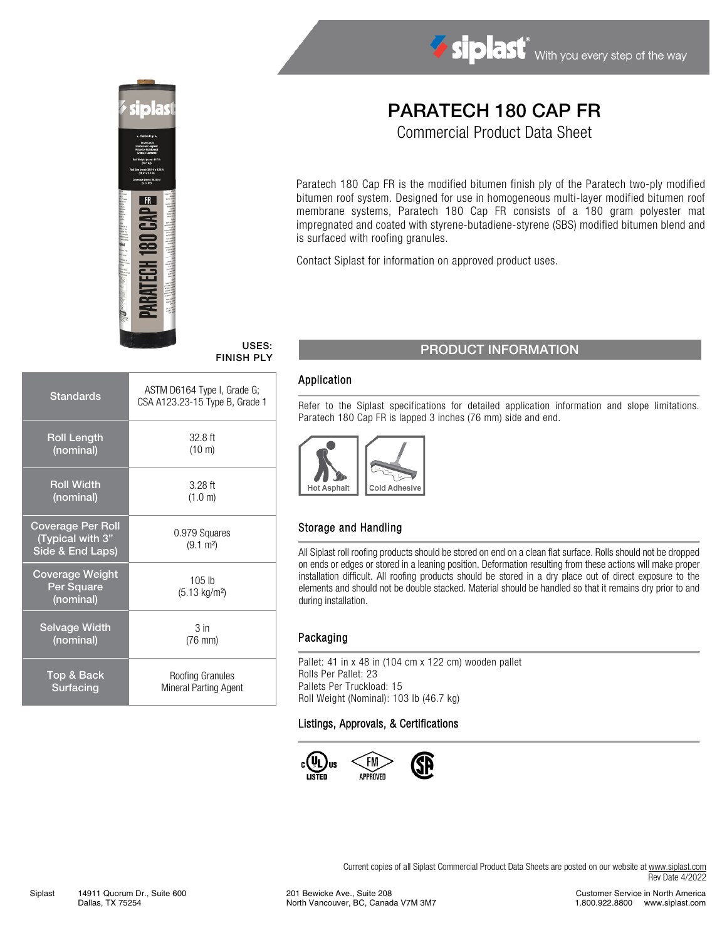



# PARATECH 180 CAP FR

Commercial Product Data Sheet

Paratech 180 Cap FR is the modified bitumen finish ply of the Paratech two-ply modified bitumen roof system. Designed for use in homogeneous multi-layer modified bitumen roof membrane systems, Paratech 180 Cap FR consists of a 180 gram polyester mat impregnated and coated with styrene-butadiene-styrene (SBS) modified bitumen blend and is surfaced with roofing granules.

Contact Siplast for information on approved product uses.

| <b>Standards</b>                                                 | ASTM D6164 Type I, Grade G;<br>CSA A123.23-15 Type B, Grade 1 |  |  |
|------------------------------------------------------------------|---------------------------------------------------------------|--|--|
| <b>Roll Length</b>                                               | $32.8$ ft                                                     |  |  |
| (nominal)                                                        | $(10 \text{ m})$                                              |  |  |
| <b>Roll Width</b>                                                | $3.28$ ft                                                     |  |  |
| (nominal)                                                        | (1.0 m)                                                       |  |  |
| <b>Coverage Per Roll</b><br>(Typical with 3"<br>Side & End Laps) | 0.979 Squares<br>$(9.1 \text{ m}^2)$                          |  |  |
| <b>Coverage Weight</b><br>Per Square<br>(nominal)                | $105$ lb<br>(5.13 kg/m <sup>2</sup> )                         |  |  |
| <b>Selvage Width</b>                                             | 3 <sub>in</sub>                                               |  |  |
| (nominal)                                                        | $(76$ mm $)$                                                  |  |  |
| <b>Top &amp; Back</b>                                            | Roofing Granules                                              |  |  |
| Surfacing                                                        | Mineral Parting Agent                                         |  |  |

# USES: USES: PRODUCT INFORMATION

### Application

Refer to the Siplast specifications for detailed application information and slope limitations. Paratech 180 Cap FR is lapped 3 inches (76 mm) side and end.



### Storage and Handling

All Siplast roll roofing products should be stored on end on a clean flat surface. Rolls should not be dropped on ends or edges or stored in a leaning position. Deformation resulting from these actions will make proper installation difficult. All roofing products should be stored in a dry place out of direct exposure to the elements and should not be double stacked. Material should be handled so that it remains dry prior to and during installation.

#### Packaging

Pallet: 41 in x 48 in (104 cm x 122 cm) wooden pallet Rolls Per Pallet: 23 Pallets Per Truckload: 15 Roll Weight (Nominal): 103 lb (46.7 kg)

#### Listings, Approvals, & Certifications



Customer Service in North America 1.800.922.8800 www.siplast.com